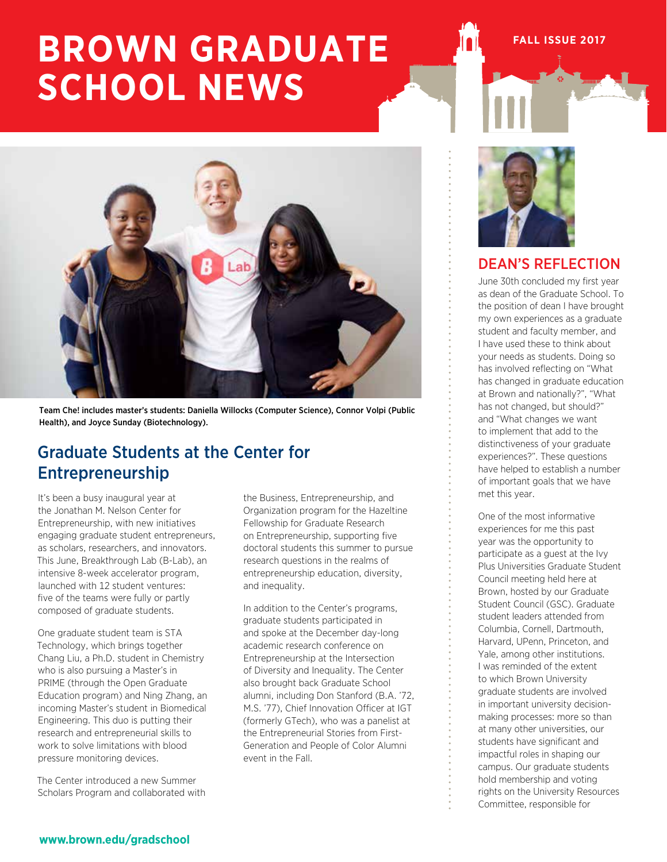# **BROWN GRADUATE SCHOOL NEWS**

Team Che! includes master's students: Daniella Willocks (Computer Science), Connor Volpi (Public Health), and Joyce Sunday (Biotechnology).

# Graduate Students at the Center for Entrepreneurship

It's been a busy inaugural year at the Jonathan M. Nelson Center for Entrepreneurship, with new initiatives engaging graduate student entrepreneurs, as scholars, researchers, and innovators. This June, Breakthrough Lab (B-Lab), an intensive 8-week accelerator program, launched with 12 student ventures: five of the teams were fully or partly composed of graduate students.

One graduate student team is STA Technology, which brings together Chang Liu, a Ph.D. student in Chemistry who is also pursuing a Master's in PRIME (through the Open Graduate Education program) and Ning Zhang, an incoming Master's student in Biomedical Engineering. This duo is putting their research and entrepreneurial skills to work to solve limitations with blood pressure monitoring devices.

The Center introduced a new Summer Scholars Program and collaborated with

the Business, Entrepreneurship, and Organization program for the Hazeltine Fellowship for Graduate Research on Entrepreneurship, supporting five doctoral students this summer to pursue research questions in the realms of entrepreneurship education, diversity, and inequality.

In addition to the Center's programs, graduate students participated in and spoke at the December day-long academic research conference on Entrepreneurship at the Intersection of Diversity and Inequality. The Center also brought back Graduate School alumni, including Don Stanford (B.A. '72, M.S. '77), Chief Innovation Officer at IGT (formerly GTech), who was a panelist at the Entrepreneurial Stories from First-Generation and People of Color Alumni event in the Fall.



# DEAN'S REFLECTION

**FALL ISSUE 2017**

June 30th concluded my first year as dean of the Graduate School. To the position of dean I have brought my own experiences as a graduate student and faculty member, and I have used these to think about your needs as students. Doing so has involved reflecting on "What has changed in graduate education at Brown and nationally?", "What has not changed, but should?" and "What changes we want to implement that add to the distinctiveness of your graduate experiences?". These questions have helped to establish a number of important goals that we have met this year.

One of the most informative experiences for me this past year was the opportunity to participate as a guest at the Ivy Plus Universities Graduate Student Council meeting held here at Brown, hosted by our Graduate Student Council (GSC). Graduate student leaders attended from Columbia, Cornell, Dartmouth, Harvard, UPenn, Princeton, and Yale, among other institutions. I was reminded of the extent to which Brown University graduate students are involved in important university decisionmaking processes: more so than at many other universities, our students have significant and impactful roles in shaping our campus. Our graduate students hold membership and voting rights on the University Resources Committee, responsible for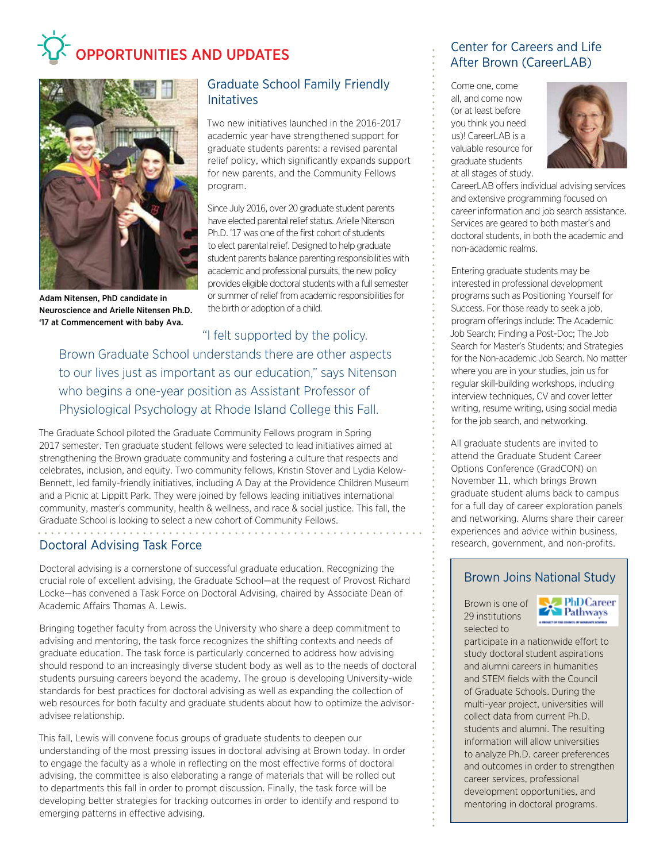# OPPORTUNITIES AND UPDATES



Adam Nitensen, PhD candidate in Neuroscience and Arielle Nitensen Ph.D. '17 at Commencement with baby Ava.

## Graduate School Family Friendly Initatives

Two new initiatives launched in the 2016-2017 academic year have strengthened support for graduate students parents: a revised parental relief policy, which significantly expands support for new parents, and the Community Fellows program.

Since July 2016, over 20 graduate student parents have elected parental relief status. Arielle Nitenson Ph.D. '17 was one of the first cohort of students to elect parental relief. Designed to help graduate student parents balance parenting responsibilities with academic and professional pursuits, the new policy provides eligible doctoral students with a full semester or summer of relief from academic responsibilities for the birth or adoption of a child.

"I felt supported by the policy. Brown Graduate School understands there are other aspects to our lives just as important as our education," says Nitenson who begins a one-year position as Assistant Professor of Physiological Psychology at Rhode Island College this Fall.

The Graduate School piloted the Graduate Community Fellows program in Spring 2017 semester. Ten graduate student fellows were selected to lead initiatives aimed at strengthening the Brown graduate community and fostering a culture that respects and celebrates, inclusion, and equity. Two community fellows, Kristin Stover and Lydia Kelow-Bennett, led family-friendly initiatives, including A Day at the Providence Children Museum and a Picnic at Lippitt Park. They were joined by fellows leading initiatives international community, master's community, health & wellness, and race & social justice. This fall, the Graduate School is looking to select a new cohort of Community Fellows.

# Doctoral Advising Task Force

Doctoral advising is a cornerstone of successful graduate education. Recognizing the crucial role of excellent advising, the Graduate School—at the request of Provost Richard Locke—has convened a Task Force on Doctoral Advising, chaired by Associate Dean of Academic Affairs Thomas A. Lewis.

Bringing together faculty from across the University who share a deep commitment to advising and mentoring, the task force recognizes the shifting contexts and needs of graduate education. The task force is particularly concerned to address how advising should respond to an increasingly diverse student body as well as to the needs of doctoral students pursuing careers beyond the academy. The group is developing University-wide standards for best practices for doctoral advising as well as expanding the collection of web resources for both faculty and graduate students about how to optimize the advisoradvisee relationship.

This fall, Lewis will convene focus groups of graduate students to deepen our understanding of the most pressing issues in doctoral advising at Brown today. In order to engage the faculty as a whole in reflecting on the most effective forms of doctoral advising, the committee is also elaborating a range of materials that will be rolled out to departments this fall in order to prompt discussion. Finally, the task force will be developing better strategies for tracking outcomes in order to identify and respond to emerging patterns in effective advising.

## Center for Careers and Life After Brown (CareerLAB)

Come one, come all, and come now (or at least before you think you need us)! CareerLAB is a valuable resource for graduate students at all stages of study.



CareerLAB offers individual advising services and extensive programming focused on career information and job search assistance. Services are geared to both master's and doctoral students, in both the academic and non-academic realms.

Entering graduate students may be interested in professional development programs such as Positioning Yourself for Success. For those ready to seek a job, program offerings include: The Academic Job Search; Finding a Post-Doc; The Job Search for Master's Students; and Strategies for the Non-academic Job Search. No matter where you are in your studies, join us for regular skill-building workshops, including interview techniques, CV and cover letter writing, resume writing, using social media for the job search, and networking.

All graduate students are invited to attend the Graduate Student Career Options Conference (GradCON) on November 11, which brings Brown graduate student alums back to campus for a full day of career exploration panels and networking. Alums share their career experiences and advice within business, research, government, and non-profits.

## Brown Joins National Study

Brown is one of 29 institutions selected to



participate in a nationwide effort to study doctoral student aspirations and alumni careers in humanities and STEM fields with the Council of Graduate Schools. During the multi-year project, universities will collect data from current Ph.D. students and alumni. The resulting information will allow universities to analyze Ph.D. career preferences and outcomes in order to strengthen career services, professional development opportunities, and mentoring in doctoral programs.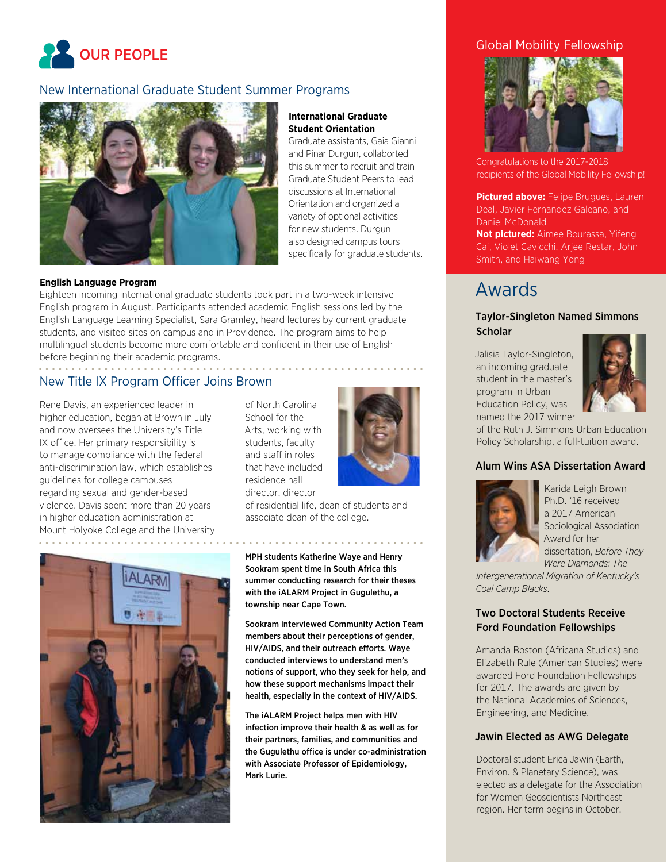

### New International Graduate Student Summer Programs



#### **International Graduate Student Orientation**

Graduate assistants, Gaia Gianni and Pinar Durgun, collaborted this summer to recruit and train Graduate Student Peers to lead discussions at International Orientation and organized a variety of optional activities for new students. Durgun also designed campus tours specifically for graduate students.

#### **English Language Program**

Eighteen incoming international graduate students took part in a two-week intensive English program in August. Participants attended academic English sessions led by the English Language Learning Specialist, Sara Gramley, heard lectures by current graduate students, and visited sites on campus and in Providence. The program aims to help multilingual students become more comfortable and confident in their use of English before beginning their academic programs.

### New Title IX Program Officer Joins Brown

Rene Davis, an experienced leader in higher education, began at Brown in July and now oversees the University's Title IX office. Her primary responsibility is to manage compliance with the federal anti-discrimination law, which establishes guidelines for college campuses regarding sexual and gender-based violence. Davis spent more than 20 years in higher education administration at Mount Holyoke College and the University of North Carolina School for the Arts, working with students, faculty and staff in roles that have included residence hall director, director



of residential life, dean of students and associate dean of the college.



MPH students Katherine Waye and Henry Sookram spent time in South Africa this summer conducting research for their theses with the iALARM Project in Gugulethu, a township near Cape Town.

Sookram interviewed Community Action Team members about their perceptions of gender, HIV/AIDS, and their outreach efforts. Waye conducted interviews to understand men's notions of support, who they seek for help, and how these support mechanisms impact their health, especially in the context of HIV/AIDS.

The iALARM Project helps men with HIV infection improve their health & as well as for their partners, families, and communities and the Gugulethu office is under co-administration with Associate Professor of Epidemiology, Mark Lurie.

### Global Mobility Fellowship



Congratulations to the 2017-2018 recipients of the Global Mobility Fellowship!

**Pictured above: Felipe Brugues, Lauren** Deal, Javier Fernandez Galeano, and Daniel McDonald

**Not pictured:** Aimee Bourassa, Yifeng Cai, Violet Cavicchi, Arjee Restar, John Smith, and Haiwang Yong

# Awards

#### Taylor-Singleton Named Simmons **Scholar**

Jalisia Taylor-Singleton, an incoming graduate student in the master's program in Urban Education Policy, was named the 2017 winner



of the Ruth J. Simmons Urban Education Policy Scholarship, a full-tuition award.

#### Alum Wins ASA Dissertation Award



Karida Leigh Brown Ph.D. '16 received a 2017 American Sociological Association Award for her dissertation, *Before They Were Diamonds: The* 

*Intergenerational Migration of Kentucky's Coal Camp Blacks*.

#### Two Doctoral Students Receive Ford Foundation Fellowships

Amanda Boston (Africana Studies) and Elizabeth Rule (American Studies) were awarded Ford Foundation Fellowships for 2017. The awards are given by the National Academies of Sciences, Engineering, and Medicine.

#### Jawin Elected as AWG Delegate

Doctoral student Erica Jawin (Earth, Environ. & Planetary Science), was elected as a delegate for the Association for Women Geoscientists Northeast region. Her term begins in October.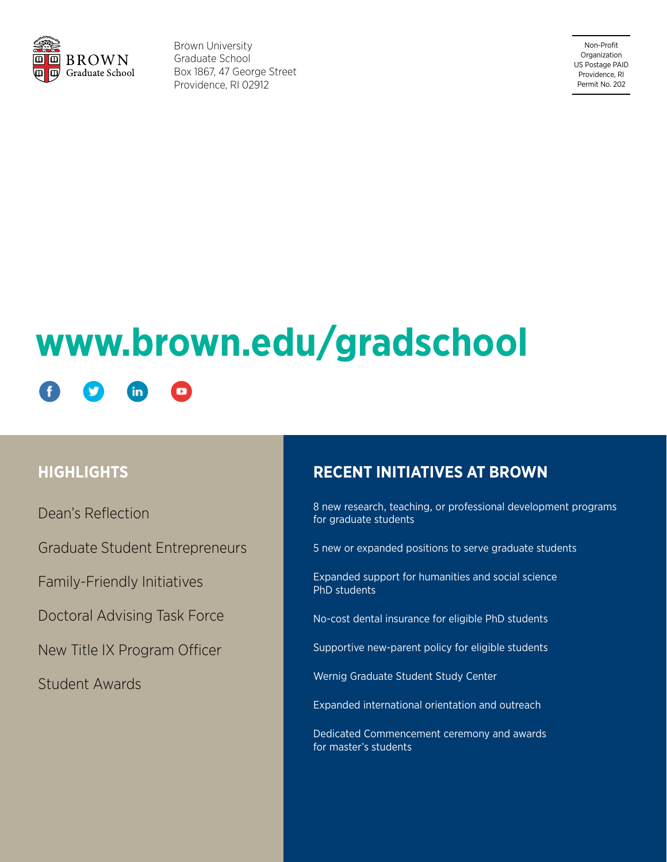

Brown University Graduate School Box 1867, 47 George Street Providence, RI 02912

Non-Profit Organization US Postage PAID Providence, RI Permit No. 202

# **www.brown.edu/gradschool**in

# **HIGHLIGHTS**

Dean's Reflection

Graduate Student Entrepreneurs

Family-Friendly Initiatives

Doctoral Advising Task Force

New Title IX Program Officer

Student Awards

# **RECENT INITIATIVES AT BROWN**

8 new research, teaching, or professional development programs for graduate students

5 new or expanded positions to serve graduate students

Expanded support for humanities and social science PhD students

No-cost dental insurance for eligible PhD students

Supportive new-parent policy for eligible students

Wernig Graduate Student Study Center

Expanded international orientation and outreach

Dedicated Commencement ceremony and awards for master's students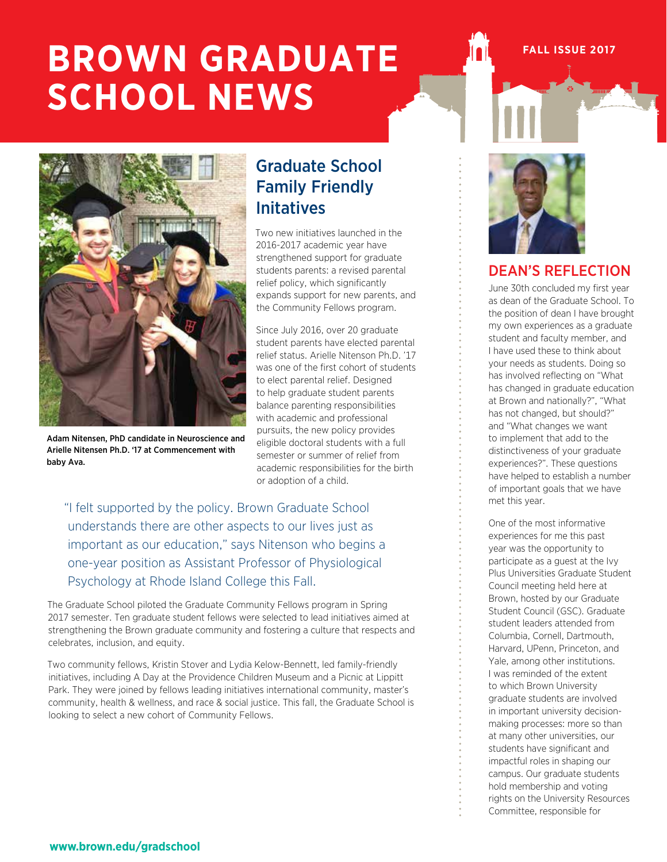# **BROWN GRADUATE SCHOOL NEWS**





Adam Nitensen, PhD candidate in Neuroscience and Arielle Nitensen Ph.D. '17 at Commencement with baby Ava.

# Graduate School Family Friendly Initatives

Two new initiatives launched in the 2016-2017 academic year have strengthened support for graduate students parents: a revised parental relief policy, which significantly expands support for new parents, and the Community Fellows program.

Since July 2016, over 20 graduate student parents have elected parental relief status. Arielle Nitenson Ph.D. '17 was one of the first cohort of students to elect parental relief. Designed to help graduate student parents balance parenting responsibilities with academic and professional pursuits, the new policy provides eligible doctoral students with a full semester or summer of relief from academic responsibilities for the birth or adoption of a child.

"I felt supported by the policy. Brown Graduate School understands there are other aspects to our lives just as important as our education," says Nitenson who begins a one-year position as Assistant Professor of Physiological Psychology at Rhode Island College this Fall.

The Graduate School piloted the Graduate Community Fellows program in Spring 2017 semester. Ten graduate student fellows were selected to lead initiatives aimed at strengthening the Brown graduate community and fostering a culture that respects and celebrates, inclusion, and equity.

Two community fellows, Kristin Stover and Lydia Kelow-Bennett, led family-friendly initiatives, including A Day at the Providence Children Museum and a Picnic at Lippitt Park. They were joined by fellows leading initiatives international community, master's community, health & wellness, and race & social justice. This fall, the Graduate School is looking to select a new cohort of Community Fellows.



# DEAN'S REFLECTION

June 30th concluded my first year as dean of the Graduate School. To the position of dean I have brought my own experiences as a graduate student and faculty member, and I have used these to think about your needs as students. Doing so has involved reflecting on "What has changed in graduate education at Brown and nationally?", "What has not changed, but should?" and "What changes we want to implement that add to the distinctiveness of your graduate experiences?". These questions have helped to establish a number of important goals that we have met this year.

One of the most informative experiences for me this past year was the opportunity to participate as a guest at the Ivy Plus Universities Graduate Student Council meeting held here at Brown, hosted by our Graduate Student Council (GSC). Graduate student leaders attended from Columbia, Cornell, Dartmouth, Harvard, UPenn, Princeton, and Yale, among other institutions. I was reminded of the extent to which Brown University graduate students are involved in important university decisionmaking processes: more so than at many other universities, our students have significant and impactful roles in shaping our campus. Our graduate students hold membership and voting rights on the University Resources Committee, responsible for